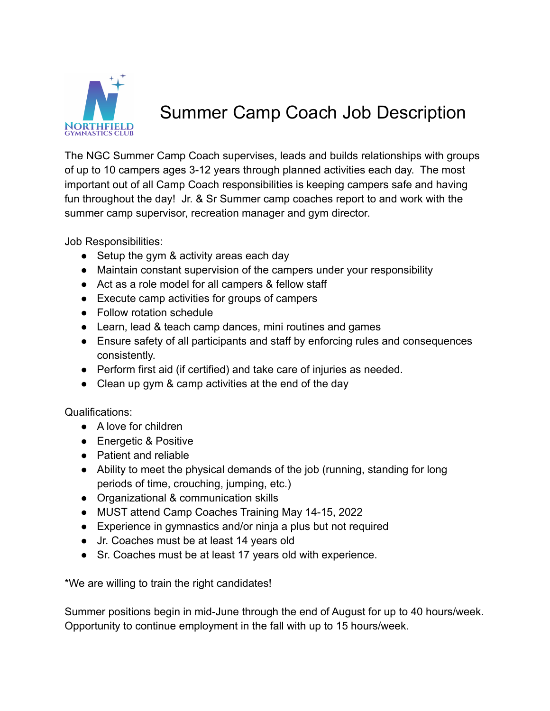

## Summer Camp Coach Job Description

The NGC Summer Camp Coach supervises, leads and builds relationships with groups of up to 10 campers ages 3-12 years through planned activities each day. The most important out of all Camp Coach responsibilities is keeping campers safe and having fun throughout the day! Jr. & Sr Summer camp coaches report to and work with the summer camp supervisor, recreation manager and gym director.

Job Responsibilities:

- Setup the gym & activity areas each day
- Maintain constant supervision of the campers under your responsibility
- Act as a role model for all campers & fellow staff
- Execute camp activities for groups of campers
- Follow rotation schedule
- Learn, lead & teach camp dances, mini routines and games
- Ensure safety of all participants and staff by enforcing rules and consequences consistently.
- Perform first aid (if certified) and take care of injuries as needed.
- Clean up gym & camp activities at the end of the day

Qualifications:

- A love for children
- Energetic & Positive
- Patient and reliable
- Ability to meet the physical demands of the job (running, standing for long periods of time, crouching, jumping, etc.)
- Organizational & communication skills
- MUST attend Camp Coaches Training May 14-15, 2022
- Experience in gymnastics and/or ninja a plus but not required
- Jr. Coaches must be at least 14 years old
- Sr. Coaches must be at least 17 years old with experience.

\*We are willing to train the right candidates!

Summer positions begin in mid-June through the end of August for up to 40 hours/week. Opportunity to continue employment in the fall with up to 15 hours/week.